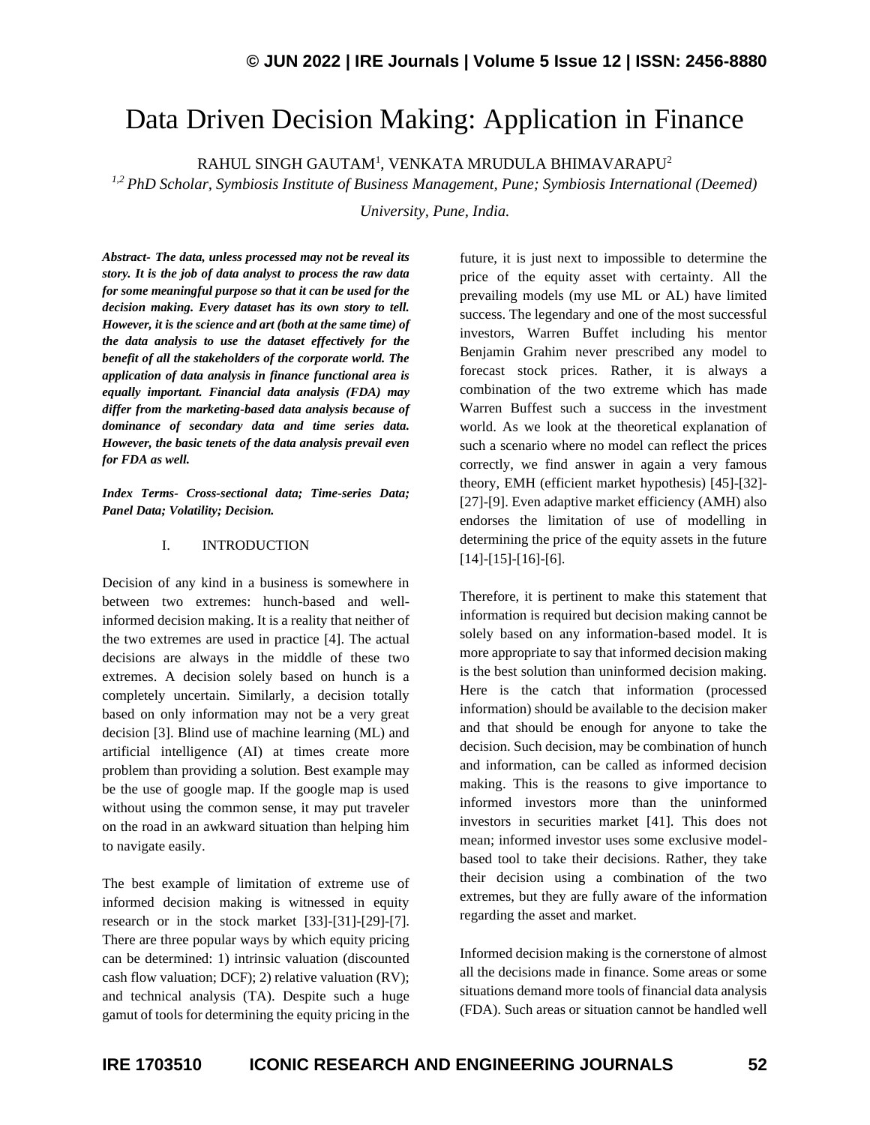# Data Driven Decision Making: Application in Finance

 $\mathsf{RAHUL}$  SINGH GAUTAM $^1$ , VENKATA MRUDULA BHIMAVARAPU $^2$ 

*1,2 PhD Scholar, Symbiosis Institute of Business Management, Pune; Symbiosis International (Deemed)* 

*University, Pune, India.*

*Abstract- The data, unless processed may not be reveal its story. It is the job of data analyst to process the raw data for some meaningful purpose so that it can be used for the decision making. Every dataset has its own story to tell. However, it is the science and art (both at the same time) of the data analysis to use the dataset effectively for the benefit of all the stakeholders of the corporate world. The application of data analysis in finance functional area is equally important. Financial data analysis (FDA) may differ from the marketing-based data analysis because of dominance of secondary data and time series data. However, the basic tenets of the data analysis prevail even for FDA as well.*

*Index Terms- Cross-sectional data; Time-series Data; Panel Data; Volatility; Decision.*

#### I. INTRODUCTION

Decision of any kind in a business is somewhere in between two extremes: hunch-based and wellinformed decision making. It is a reality that neither of the two extremes are used in practice [4]. The actual decisions are always in the middle of these two extremes. A decision solely based on hunch is a completely uncertain. Similarly, a decision totally based on only information may not be a very great decision [3]. Blind use of machine learning (ML) and artificial intelligence (AI) at times create more problem than providing a solution. Best example may be the use of google map. If the google map is used without using the common sense, it may put traveler on the road in an awkward situation than helping him to navigate easily.

The best example of limitation of extreme use of informed decision making is witnessed in equity research or in the stock market [33]-[31]-[29]-[7]. There are three popular ways by which equity pricing can be determined: 1) intrinsic valuation (discounted cash flow valuation; DCF); 2) relative valuation (RV); and technical analysis (TA). Despite such a huge gamut of tools for determining the equity pricing in the

future, it is just next to impossible to determine the price of the equity asset with certainty. All the prevailing models (my use ML or AL) have limited success. The legendary and one of the most successful investors, Warren Buffet including his mentor Benjamin Grahim never prescribed any model to forecast stock prices. Rather, it is always a combination of the two extreme which has made Warren Buffest such a success in the investment world. As we look at the theoretical explanation of such a scenario where no model can reflect the prices correctly, we find answer in again a very famous theory, EMH (efficient market hypothesis) [45]-[32]- [27]-[9]. Even adaptive market efficiency (AMH) also endorses the limitation of use of modelling in determining the price of the equity assets in the future [14]-[15]-[16]-[6].

Therefore, it is pertinent to make this statement that information is required but decision making cannot be solely based on any information-based model. It is more appropriate to say that informed decision making is the best solution than uninformed decision making. Here is the catch that information (processed information) should be available to the decision maker and that should be enough for anyone to take the decision. Such decision, may be combination of hunch and information, can be called as informed decision making. This is the reasons to give importance to informed investors more than the uninformed investors in securities market [41]. This does not mean; informed investor uses some exclusive modelbased tool to take their decisions. Rather, they take their decision using a combination of the two extremes, but they are fully aware of the information regarding the asset and market.

Informed decision making is the cornerstone of almost all the decisions made in finance. Some areas or some situations demand more tools of financial data analysis (FDA). Such areas or situation cannot be handled well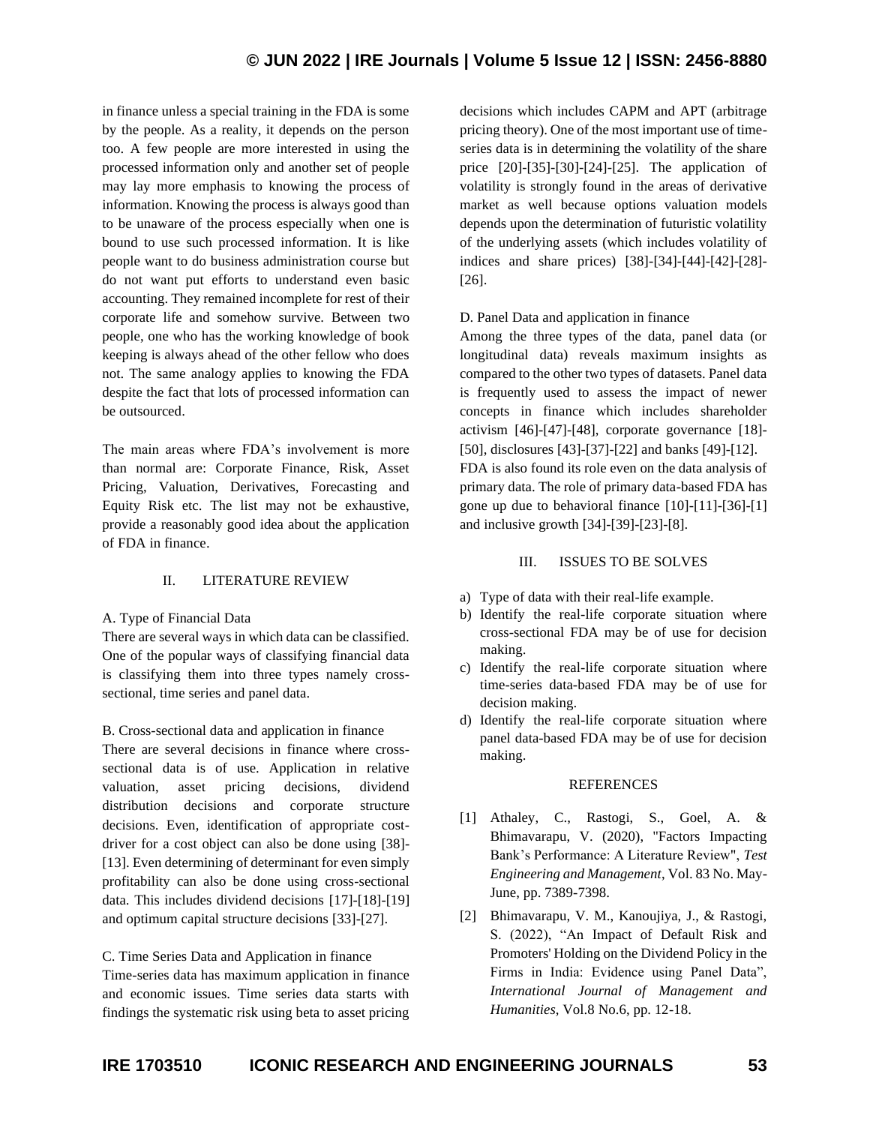# **© JUN 2022 | IRE Journals | Volume 5 Issue 12 | ISSN: 2456-8880**

in finance unless a special training in the FDA is some by the people. As a reality, it depends on the person too. A few people are more interested in using the processed information only and another set of people may lay more emphasis to knowing the process of information. Knowing the process is always good than to be unaware of the process especially when one is bound to use such processed information. It is like people want to do business administration course but do not want put efforts to understand even basic accounting. They remained incomplete for rest of their corporate life and somehow survive. Between two people, one who has the working knowledge of book keeping is always ahead of the other fellow who does not. The same analogy applies to knowing the FDA despite the fact that lots of processed information can be outsourced.

The main areas where FDA's involvement is more than normal are: Corporate Finance, Risk, Asset Pricing, Valuation, Derivatives, Forecasting and Equity Risk etc. The list may not be exhaustive, provide a reasonably good idea about the application of FDA in finance.

# II. LITERATURE REVIEW

#### A. Type of Financial Data

There are several ways in which data can be classified. One of the popular ways of classifying financial data is classifying them into three types namely crosssectional, time series and panel data.

B. Cross-sectional data and application in finance There are several decisions in finance where crosssectional data is of use. Application in relative valuation, asset pricing decisions, dividend distribution decisions and corporate structure decisions. Even, identification of appropriate costdriver for a cost object can also be done using [38]- [13]. Even determining of determinant for even simply profitability can also be done using cross-sectional data. This includes dividend decisions [17]-[18]-[19] and optimum capital structure decisions [33]-[27].

C. Time Series Data and Application in finance Time-series data has maximum application in finance and economic issues. Time series data starts with findings the systematic risk using beta to asset pricing decisions which includes CAPM and APT (arbitrage pricing theory). One of the most important use of timeseries data is in determining the volatility of the share price [20]-[35]-[30]-[24]-[25]. The application of volatility is strongly found in the areas of derivative market as well because options valuation models depends upon the determination of futuristic volatility of the underlying assets (which includes volatility of indices and share prices) [38]-[34]-[44]-[42]-[28]- [26].

# D. Panel Data and application in finance

Among the three types of the data, panel data (or longitudinal data) reveals maximum insights as compared to the other two types of datasets. Panel data is frequently used to assess the impact of newer concepts in finance which includes shareholder activism [46]-[47]-[48], corporate governance [18]- [50], disclosures [43]-[37]-[22] and banks [49]-[12]. FDA is also found its role even on the data analysis of primary data. The role of primary data-based FDA has gone up due to behavioral finance [10]-[11]-[36]-[1] and inclusive growth [34]-[39]-[23]-[8].

### III. ISSUES TO BE SOLVES

- a) Type of data with their real-life example.
- b) Identify the real-life corporate situation where cross-sectional FDA may be of use for decision making.
- c) Identify the real-life corporate situation where time-series data-based FDA may be of use for decision making.
- d) Identify the real-life corporate situation where panel data-based FDA may be of use for decision making.

# **REFERENCES**

- [1] Athaley, C., Rastogi, S., Goel, A. & Bhimavarapu, V. (2020), "Factors Impacting Bank's Performance: A Literature Review", *Test Engineering and Management*, Vol. 83 No. May-June, pp. 7389-7398.
- [2] Bhimavarapu, V. M., Kanoujiya, J., & Rastogi, S. (2022), "An Impact of Default Risk and Promoters' Holding on the Dividend Policy in the Firms in India: Evidence using Panel Data", *International Journal of Management and Humanities*, Vol.8 No.6, pp. 12-18.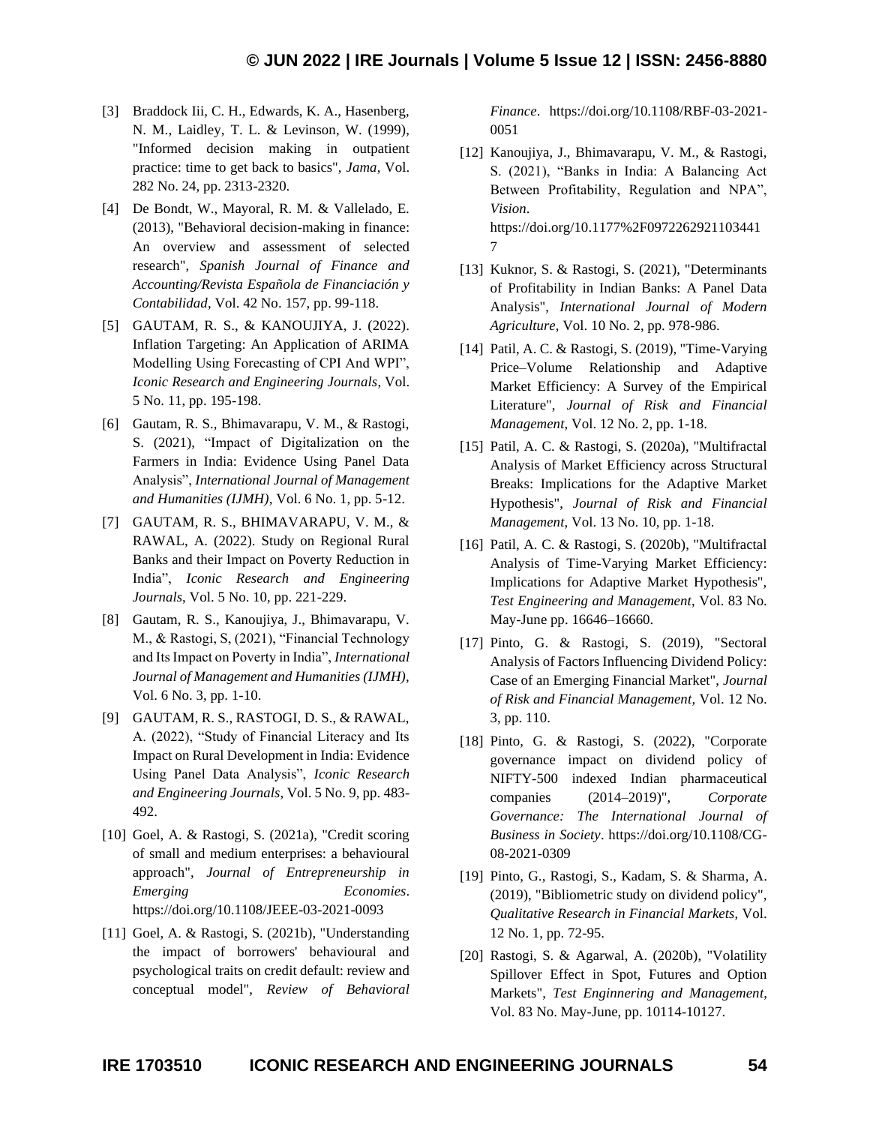- [3] Braddock Iii, C. H., Edwards, K. A., Hasenberg, N. M., Laidley, T. L. & Levinson, W. (1999), "Informed decision making in outpatient practice: time to get back to basics", *Jama*, Vol. 282 No. 24, pp. 2313-2320.
- [4] De Bondt, W., Mayoral, R. M. & Vallelado, E. (2013), "Behavioral decision-making in finance: An overview and assessment of selected research", *Spanish Journal of Finance and Accounting/Revista Española de Financiación y Contabilidad*, Vol. 42 No. 157, pp. 99-118.
- [5] GAUTAM, R. S., & KANOUJIYA, J. (2022). Inflation Targeting: An Application of ARIMA Modelling Using Forecasting of CPI And WPI", *Iconic Research and Engineering Journals*, Vol. 5 No. 11, pp. 195-198.
- [6] Gautam, R. S., Bhimavarapu, V. M., & Rastogi, S. (2021), "Impact of Digitalization on the Farmers in India: Evidence Using Panel Data Analysis", *International Journal of Management and Humanities (IJMH)*, Vol. 6 No. 1, pp. 5-12.
- [7] GAUTAM, R. S., BHIMAVARAPU, V. M., & RAWAL, A. (2022). Study on Regional Rural Banks and their Impact on Poverty Reduction in India", *Iconic Research and Engineering Journals*, Vol. 5 No. 10, pp. 221-229.
- [8] Gautam, R. S., Kanoujiya, J., Bhimavarapu, V. M., & Rastogi, S, (2021), "Financial Technology and Its Impact on Poverty in India", *International Journal of Management and Humanities (IJMH),* Vol. 6 No. 3, pp. 1-10.
- [9] GAUTAM, R. S., RASTOGI, D. S., & RAWAL, A. (2022), "Study of Financial Literacy and Its Impact on Rural Development in India: Evidence Using Panel Data Analysis", *Iconic Research and Engineering Journals*, Vol. 5 No. 9, pp. 483- 492.
- [10] Goel, A. & Rastogi, S. (2021a), "Credit scoring of small and medium enterprises: a behavioural approach", *Journal of Entrepreneurship in Emerging Economies*. https://doi.org/10.1108/JEEE-03-2021-0093
- [11] Goel, A. & Rastogi, S. (2021b), "Understanding the impact of borrowers' behavioural and psychological traits on credit default: review and conceptual model", *Review of Behavioral*

*Finance*. https://doi.org/10.1108/RBF-03-2021- 0051

- [12] Kanoujiya, J., Bhimavarapu, V. M., & Rastogi, S. (2021), "Banks in India: A Balancing Act Between Profitability, Regulation and NPA", *Vision*. https://doi.org/10.1177%2F0972262921103441 7
- [13] Kuknor, S. & Rastogi, S. (2021), "Determinants of Profitability in Indian Banks: A Panel Data Analysis", *International Journal of Modern Agriculture*, Vol. 10 No. 2, pp. 978-986.
- [14] Patil, A. C. & Rastogi, S. (2019), "Time-Varying Price–Volume Relationship and Adaptive Market Efficiency: A Survey of the Empirical Literature", *Journal of Risk and Financial Management*, Vol. 12 No. 2, pp. 1-18.
- [15] Patil, A. C. & Rastogi, S. (2020a), "Multifractal Analysis of Market Efficiency across Structural Breaks: Implications for the Adaptive Market Hypothesis", *Journal of Risk and Financial Management*, Vol. 13 No. 10, pp. 1-18.
- [16] Patil, A. C. & Rastogi, S. (2020b), "Multifractal Analysis of Time-Varying Market Efficiency: Implications for Adaptive Market Hypothesis", *Test Engineering and Management*, Vol. 83 No. May-June pp. 16646–16660.
- [17] Pinto, G. & Rastogi, S. (2019), "Sectoral Analysis of Factors Influencing Dividend Policy: Case of an Emerging Financial Market", *Journal of Risk and Financial Management*, Vol. 12 No. 3, pp. 110.
- [18] Pinto, G. & Rastogi, S. (2022), "Corporate governance impact on dividend policy of NIFTY-500 indexed Indian pharmaceutical companies (2014–2019)", *Corporate Governance: The International Journal of Business in Society*. https://doi.org/10.1108/CG-08-2021-0309
- [19] Pinto, G., Rastogi, S., Kadam, S. & Sharma, A. (2019), "Bibliometric study on dividend policy", *Qualitative Research in Financial Markets*, Vol. 12 No. 1, pp. 72-95.
- [20] Rastogi, S. & Agarwal, A. (2020b), "Volatility Spillover Effect in Spot, Futures and Option Markets", *Test Enginnering and Management*, Vol. 83 No. May-June, pp. 10114-10127.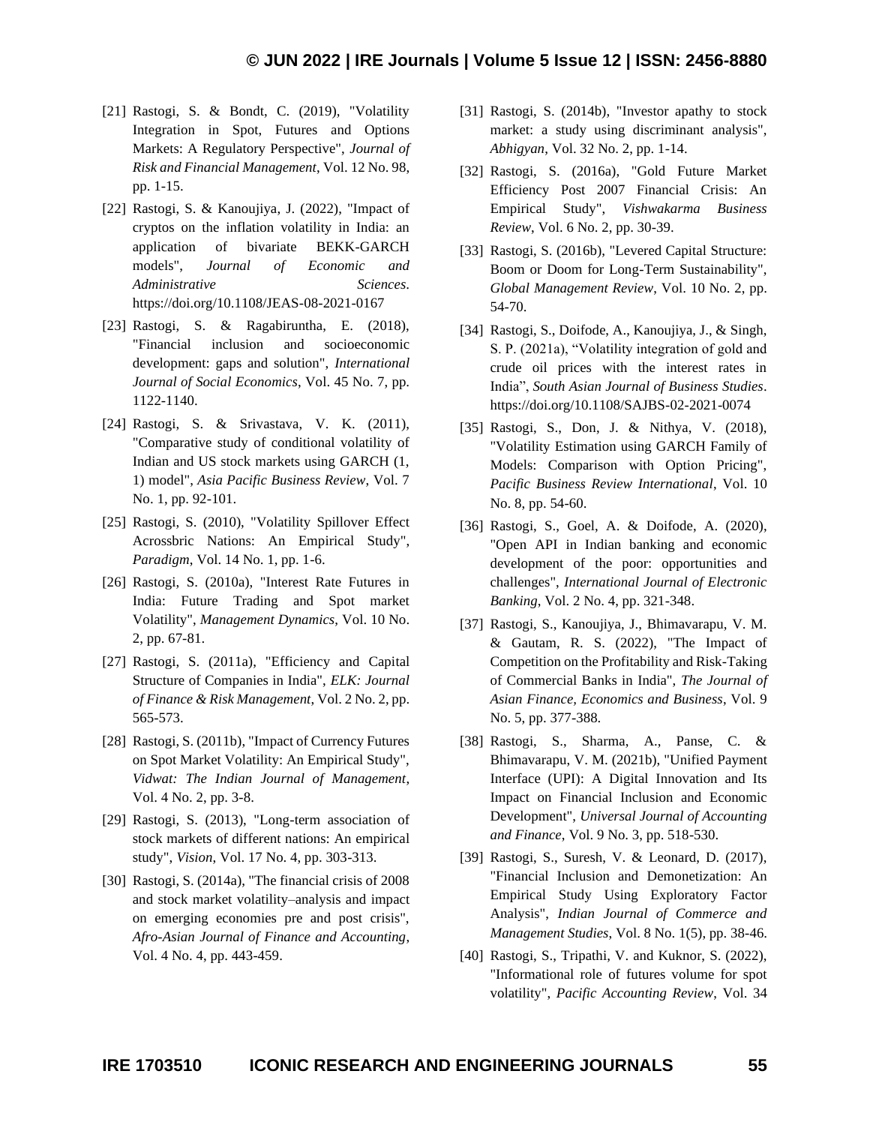- [21] Rastogi, S. & Bondt, C. (2019), "Volatility Integration in Spot, Futures and Options Markets: A Regulatory Perspective", *Journal of Risk and Financial Management*, Vol. 12 No. 98, pp. 1-15.
- [22] Rastogi, S. & Kanoujiya, J. (2022), "Impact of cryptos on the inflation volatility in India: an application of bivariate BEKK-GARCH models", *Journal of Economic and Administrative Sciences*. https://doi.org/10.1108/JEAS-08-2021-0167
- [23] Rastogi, S. & Ragabiruntha, E. (2018), "Financial inclusion and socioeconomic development: gaps and solution", *International Journal of Social Economics*, Vol. 45 No. 7, pp. 1122-1140.
- [24] Rastogi, S. & Srivastava, V. K. (2011), "Comparative study of conditional volatility of Indian and US stock markets using GARCH (1, 1) model", *Asia Pacific Business Review*, Vol. 7 No. 1, pp. 92-101.
- [25] Rastogi, S. (2010), "Volatility Spillover Effect Acrossbric Nations: An Empirical Study", *Paradigm*, Vol. 14 No. 1, pp. 1-6.
- [26] Rastogi, S. (2010a), "Interest Rate Futures in India: Future Trading and Spot market Volatility", *Management Dynamics*, Vol. 10 No. 2, pp. 67-81.
- [27] Rastogi, S. (2011a), "Efficiency and Capital Structure of Companies in India", *ELK: Journal of Finance & Risk Management*, Vol. 2 No. 2, pp. 565-573.
- [28] Rastogi, S. (2011b), "Impact of Currency Futures on Spot Market Volatility: An Empirical Study", *Vidwat: The Indian Journal of Management*, Vol. 4 No. 2, pp. 3-8.
- [29] Rastogi, S. (2013), "Long-term association of stock markets of different nations: An empirical study", *Vision*, Vol. 17 No. 4, pp. 303-313.
- [30] Rastogi, S. (2014a), "The financial crisis of 2008 and stock market volatility–analysis and impact on emerging economies pre and post crisis", *Afro-Asian Journal of Finance and Accounting*, Vol. 4 No. 4, pp. 443-459.
- [31] Rastogi, S. (2014b), "Investor apathy to stock market: a study using discriminant analysis", *Abhigyan*, Vol. 32 No. 2, pp. 1-14.
- [32] Rastogi, S. (2016a), "Gold Future Market Efficiency Post 2007 Financial Crisis: An Empirical Study", *Vishwakarma Business Review*, Vol. 6 No. 2, pp. 30-39.
- [33] Rastogi, S. (2016b), "Levered Capital Structure: Boom or Doom for Long-Term Sustainability", *Global Management Review*, Vol. 10 No. 2, pp. 54-70.
- [34] Rastogi, S., Doifode, A., Kanoujiya, J., & Singh, S. P. (2021a), "Volatility integration of gold and crude oil prices with the interest rates in India", *South Asian Journal of Business Studies*. https://doi.org/10.1108/SAJBS-02-2021-0074
- [35] Rastogi, S., Don, J. & Nithya, V. (2018), "Volatility Estimation using GARCH Family of Models: Comparison with Option Pricing", *Pacific Business Review International*, Vol. 10 No. 8, pp. 54-60.
- [36] Rastogi, S., Goel, A. & Doifode, A. (2020), "Open API in Indian banking and economic development of the poor: opportunities and challenges", *International Journal of Electronic Banking*, Vol. 2 No. 4, pp. 321-348.
- [37] Rastogi, S., Kanoujiya, J., Bhimavarapu, V. M. & Gautam, R. S. (2022), "The Impact of Competition on the Profitability and Risk-Taking of Commercial Banks in India", *The Journal of Asian Finance, Economics and Business*, Vol. 9 No. 5, pp. 377-388.
- [38] Rastogi, S., Sharma, A., Panse, C. & Bhimavarapu, V. M. (2021b), "Unified Payment Interface (UPI): A Digital Innovation and Its Impact on Financial Inclusion and Economic Development", *Universal Journal of Accounting and Finance*, Vol. 9 No. 3, pp. 518-530.
- [39] Rastogi, S., Suresh, V. & Leonard, D. (2017), "Financial Inclusion and Demonetization: An Empirical Study Using Exploratory Factor Analysis", *Indian Journal of Commerce and Management Studies*, Vol. 8 No. 1(5), pp. 38-46.
- [40] Rastogi, S., Tripathi, V. and Kuknor, S. (2022), "Informational role of futures volume for spot volatility", *Pacific Accounting Review*, Vol. 34